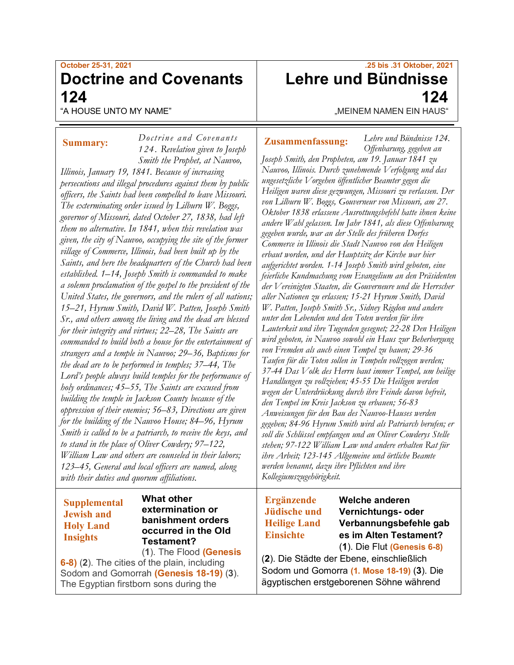## **October 25-31, 2021 Doctrine and Covenants 124**

*Doctrine a nd Covenants* 

"A HOUSE UNTO MY NAME"

### **Summary:**

*124. Revelation given to Joseph Smith the Prophet, at Nauvoo, Illinois, January 19, 1841. Because of increasing persecutions and illegal procedures against them by public officers, the Saints had been compelled to leave Missouri. The exterminating order issued by Lilburn W. Boggs, governor of Missouri, dated October 27, 1838, had left them no alternative. In 1841, when this revelation was given, the city of Nauvoo, occupying the site of the former village of Commerce, Illinois, had been built up by the Saints, and here the headquarters of the Church had been established. 1–14, Joseph Smith is commanded to make a solemn proclamation of the gospel to the president of the United States, the governors, and the rulers of all nations; 15–21, Hyrum Smith, David W. Patten, Joseph Smith Sr., and others among the living and the dead are blessed for their integrity and virtues; 22–28, The Saints are commanded to build both a house for the entertainment of strangers and a temple in Nauvoo; 29–36, Baptisms for the dead are to be performed in temples; 37–44, The Lord's people always build temples for the performance of holy ordinances; 45–55, The Saints are excused from building the temple in Jackson County because of the oppression of their enemies; 56–83, Directions are given for the building of the Nauvoo House; 84–96, Hyrum Smith is called to be a patriarch, to receive the keys, and to stand in the place of Oliver Cowdery; 97–122, William Law and others are counseled in their labors; 123–45, General and local officers are named, along with their duties and quorum affiliations.*

### **Supplemental Jewish and Holy Land Insights**

**What other extermination or banishment orders occurred in the Old Testament?**

#### (**1**). The Flood **(Genesis 6-8)** (**2**). The cities of the plain, including Sodom and Gomorrah **(Genesis 18-19)** (**3**). The Egyptian firstborn sons during the

# **.25 bis .31 Oktober, 2021 Lehre und Bündnisse 124**

"MEINEM NAMEN EIN HAUS"

### **Zusammenfassung:**

*Lehre und Bündnisse 124. Offenbarung, gegeben an* 

*Joseph Smith, den Propheten, am 19. Januar 1841 zu Nauvoo, Illinois. Durch zunehmende Verfolgung und das ungesetzliche Vorgehen öffentlicher Beamter gegen die Heiligen waren diese gezwungen, Missouri zu verlassen. Der von Lilburn W. Boggs, Gouverneur von Missouri, am 27. Oktober 1838 erlassene Ausrottungsbefehl hatte ihnen keine andere Wahl gelassen. Im Jahr 1841, als diese Offenbarung gegeben wurde, war an der Stelle des früheren Dorfes Commerce in Illinois die Stadt Nauvoo von den Heiligen erbaut worden, und der Hauptsitz der Kirche war hier aufgerichtet worden. 1-14 Joseph Smith wird geboten, eine feierliche Kundmachung vom Evangelium an den Präsidenten der Vereinigten Staaten, die Gouverneure und die Herrscher aller Nationen zu erlassen; 15-21 Hyrum Smith, David W. Patten, Joseph Smith Sr., Sidney Rigdon und andere unter den Lebenden und den Toten werden für ihre Lauterkeit und ihre Tugenden gesegnet; 22-28 Den Heiligen wird geboten, in Nauvoo sowohl ein Haus zur Beherbergung von Fremden als auch einen Tempel zu bauen; 29-36 Taufen für die Toten sollen in Tempeln vollzogen werden; 37-44 Das Volk des Herrn baut immer Tempel, um heilige Handlungen zu vollziehen; 45-55 Die Heiligen werden wegen der Unterdrückung durch ihre Feinde davon befreit, den Tempel im Kreis Jackson zu erbauen; 56-83 Anweisungen für den Bau des Nauvoo-Hauses werden gegeben; 84-96 Hyrum Smith wird als Patriarch berufen; er soll die Schlüssel empfangen und an Oliver Cowderys Stelle stehen; 97-122 William Law und andere erhalten Rat für ihre Arbeit; 123-145 Allgemeine und örtliche Beamte werden benannt, dazu ihre Pflichten und ihre Kollegiumszugehörigkeit.*

### **Ergänzende Jüdische und Heilige Land Einsichte**

**Welche anderen Vernichtungs- oder Verbannungsbefehle gab es im Alten Testament?**

(**1**). Die Flut **(Genesis 6-8)** (**2**). Die Städte der Ebene, einschließlich Sodom und Gomorra **(1. Mose 18-19)** (**3**). Die ägyptischen erstgeborenen Söhne während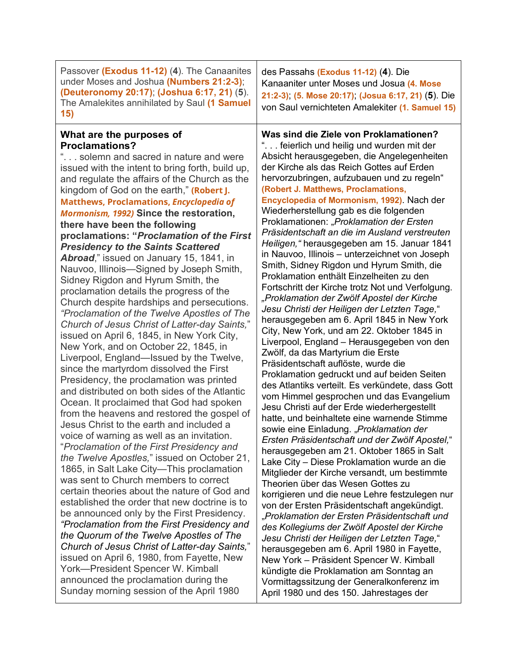| Passover (Exodus 11-12) (4). The Canaanites<br>under Moses and Joshua (Numbers 21:2-3);<br>(Deuteronomy 20:17); (Joshua 6:17, 21) (5).<br>The Amalekites annihilated by Saul (1 Samuel<br>15)                                                                                                                                                                                                                                                                                                                                                                                                                                                                                                                                                                                                                                                                                                                                                                                                                                                                                                                                                                                                                                                                                                                                                                                                                                                                                                                                                                                                                                                                                                                                                                                                                                                                                                                    | des Passahs (Exodus 11-12) (4). Die<br>Kanaaniter unter Moses und Josua (4. Mose<br>21:2-3); (5. Mose 20:17); (Josua 6:17, 21) (5). Die<br>von Saul vernichteten Amalekiter (1. Samuel 15)                                                                                                                                                                                                                                                                                                                                                                                                                                                                                                                                                                                                                                                                                                                                                                                                                                                                                                                                                                                                                                                                                                                                                                                                                                                                                                                                                                                                                                                                                                                                                                                                                                                                                                                                                                                                                                        |
|------------------------------------------------------------------------------------------------------------------------------------------------------------------------------------------------------------------------------------------------------------------------------------------------------------------------------------------------------------------------------------------------------------------------------------------------------------------------------------------------------------------------------------------------------------------------------------------------------------------------------------------------------------------------------------------------------------------------------------------------------------------------------------------------------------------------------------------------------------------------------------------------------------------------------------------------------------------------------------------------------------------------------------------------------------------------------------------------------------------------------------------------------------------------------------------------------------------------------------------------------------------------------------------------------------------------------------------------------------------------------------------------------------------------------------------------------------------------------------------------------------------------------------------------------------------------------------------------------------------------------------------------------------------------------------------------------------------------------------------------------------------------------------------------------------------------------------------------------------------------------------------------------------------|-----------------------------------------------------------------------------------------------------------------------------------------------------------------------------------------------------------------------------------------------------------------------------------------------------------------------------------------------------------------------------------------------------------------------------------------------------------------------------------------------------------------------------------------------------------------------------------------------------------------------------------------------------------------------------------------------------------------------------------------------------------------------------------------------------------------------------------------------------------------------------------------------------------------------------------------------------------------------------------------------------------------------------------------------------------------------------------------------------------------------------------------------------------------------------------------------------------------------------------------------------------------------------------------------------------------------------------------------------------------------------------------------------------------------------------------------------------------------------------------------------------------------------------------------------------------------------------------------------------------------------------------------------------------------------------------------------------------------------------------------------------------------------------------------------------------------------------------------------------------------------------------------------------------------------------------------------------------------------------------------------------------------------------|
| What are the purposes of<br><b>Proclamations?</b><br>" solemn and sacred in nature and were<br>issued with the intent to bring forth, build up,<br>and regulate the affairs of the Church as the<br>kingdom of God on the earth," (Robert J.<br><b>Matthews, Proclamations, Encyclopedia of</b><br>Mormonism, 1992) Since the restoration,<br>there have been the following<br>proclamations: "Proclamation of the First<br><b>Presidency to the Saints Scattered</b><br>Abroad," issued on January 15, 1841, in<br>Nauvoo, Illinois—Signed by Joseph Smith,<br>Sidney Rigdon and Hyrum Smith, the<br>proclamation details the progress of the<br>Church despite hardships and persecutions.<br>"Proclamation of the Twelve Apostles of The<br>Church of Jesus Christ of Latter-day Saints,"<br>issued on April 6, 1845, in New York City,<br>New York, and on October 22, 1845, in<br>Liverpool, England—Issued by the Twelve,<br>since the martyrdom dissolved the First<br>Presidency, the proclamation was printed<br>and distributed on both sides of the Atlantic<br>Ocean. It proclaimed that God had spoken<br>from the heavens and restored the gospel of<br>Jesus Christ to the earth and included a<br>voice of warning as well as an invitation<br>"Proclamation of the First Presidency and<br>the Twelve Apostles," issued on October 21,<br>1865, in Salt Lake City-This proclamation<br>was sent to Church members to correct<br>certain theories about the nature of God and<br>established the order that new doctrine is to<br>be announced only by the First Presidency.<br>"Proclamation from the First Presidency and<br>the Quorum of the Twelve Apostles of The<br>Church of Jesus Christ of Latter-day Saints,"<br>issued on April 6, 1980, from Fayette, New<br>York-President Spencer W. Kimball<br>announced the proclamation during the<br>Sunday morning session of the April 1980 | Was sind die Ziele von Proklamationen?<br>" feierlich und heilig und wurden mit der<br>Absicht herausgegeben, die Angelegenheiten<br>der Kirche als das Reich Gottes auf Erden<br>hervorzubringen, aufzubauen und zu regeln"<br>(Robert J. Matthews, Proclamations,<br>Encyclopedia of Mormonism, 1992). Nach der<br>Wiederherstellung gab es die folgenden<br>Proklamationen: "Proklamation der Ersten<br>Präsidentschaft an die im Ausland verstreuten<br>Heiligen, "herausgegeben am 15. Januar 1841<br>in Nauvoo, Illinois - unterzeichnet von Joseph<br>Smith, Sidney Rigdon und Hyrum Smith, die<br>Proklamation enthält Einzelheiten zu den<br>Fortschritt der Kirche trotz Not und Verfolgung.<br>"Proklamation der Zwölf Apostel der Kirche<br>Jesu Christi der Heiligen der Letzten Tage,"<br>herausgegeben am 6. April 1845 in New York<br>City, New York, und am 22. Oktober 1845 in<br>Liverpool, England - Herausgegeben von den<br>Zwölf, da das Martyrium die Erste<br>Präsidentschaft auflöste, wurde die<br>Proklamation gedruckt und auf beiden Seiten<br>des Atlantiks verteilt. Es verkündete, dass Gott<br>vom Himmel gesprochen und das Evangelium<br>Jesu Christi auf der Erde wiederhergestellt<br>hatte, und beinhaltete eine warnende Stimme<br>sowie eine Einladung. "Proklamation der<br>Ersten Präsidentschaft und der Zwölf Apostel,"<br>herausgegeben am 21. Oktober 1865 in Salt<br>Lake City - Diese Proklamation wurde an die<br>Mitglieder der Kirche versandt, um bestimmte<br>Theorien über das Wesen Gottes zu<br>korrigieren und die neue Lehre festzulegen nur<br>von der Ersten Präsidentschaft angekündigt.<br>"Proklamation der Ersten Präsidentschaft und<br>des Kollegiums der Zwölf Apostel der Kirche<br>Jesu Christi der Heiligen der Letzten Tage,"<br>herausgegeben am 6. April 1980 in Fayette,<br>New York - Präsident Spencer W. Kimball<br>kündigte die Proklamation am Sonntag an<br>Vormittagssitzung der Generalkonferenz im<br>April 1980 und des 150. Jahrestages der |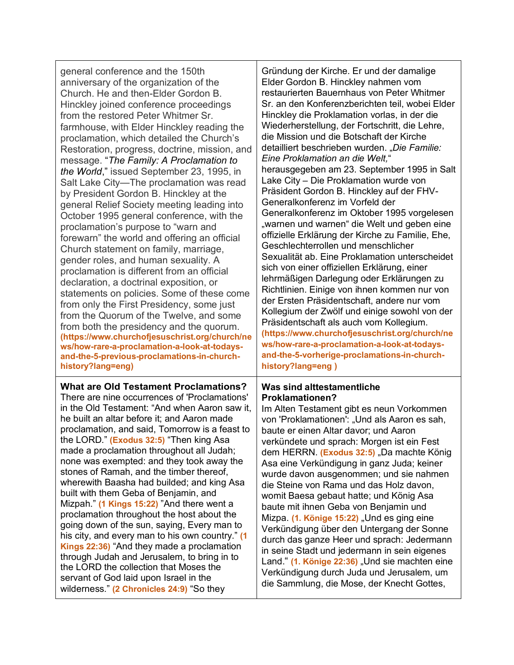| general conference and the 150th                                                                                                                                                                                                                                                                                                                                                                                                                                                                                                                                                                                                                                                                                                                                                                                                                                                                                                                    | Gründung der Kirche. Er und der damalige                                                                                                                                                                                                                                                                                                                                                                                                                                                                                                                                                                                                                                                                                                                                                                                                           |
|-----------------------------------------------------------------------------------------------------------------------------------------------------------------------------------------------------------------------------------------------------------------------------------------------------------------------------------------------------------------------------------------------------------------------------------------------------------------------------------------------------------------------------------------------------------------------------------------------------------------------------------------------------------------------------------------------------------------------------------------------------------------------------------------------------------------------------------------------------------------------------------------------------------------------------------------------------|----------------------------------------------------------------------------------------------------------------------------------------------------------------------------------------------------------------------------------------------------------------------------------------------------------------------------------------------------------------------------------------------------------------------------------------------------------------------------------------------------------------------------------------------------------------------------------------------------------------------------------------------------------------------------------------------------------------------------------------------------------------------------------------------------------------------------------------------------|
| anniversary of the organization of the                                                                                                                                                                                                                                                                                                                                                                                                                                                                                                                                                                                                                                                                                                                                                                                                                                                                                                              | Elder Gordon B. Hinckley nahmen vom                                                                                                                                                                                                                                                                                                                                                                                                                                                                                                                                                                                                                                                                                                                                                                                                                |
| Church. He and then-Elder Gordon B.                                                                                                                                                                                                                                                                                                                                                                                                                                                                                                                                                                                                                                                                                                                                                                                                                                                                                                                 | restaurierten Bauernhaus von Peter Whitmer                                                                                                                                                                                                                                                                                                                                                                                                                                                                                                                                                                                                                                                                                                                                                                                                         |
| Hinckley joined conference proceedings                                                                                                                                                                                                                                                                                                                                                                                                                                                                                                                                                                                                                                                                                                                                                                                                                                                                                                              | Sr. an den Konferenzberichten teil, wobei Elder                                                                                                                                                                                                                                                                                                                                                                                                                                                                                                                                                                                                                                                                                                                                                                                                    |
| from the restored Peter Whitmer Sr.                                                                                                                                                                                                                                                                                                                                                                                                                                                                                                                                                                                                                                                                                                                                                                                                                                                                                                                 | Hinckley die Proklamation vorlas, in der die                                                                                                                                                                                                                                                                                                                                                                                                                                                                                                                                                                                                                                                                                                                                                                                                       |
| farmhouse, with Elder Hinckley reading the                                                                                                                                                                                                                                                                                                                                                                                                                                                                                                                                                                                                                                                                                                                                                                                                                                                                                                          | Wiederherstellung, der Fortschritt, die Lehre,                                                                                                                                                                                                                                                                                                                                                                                                                                                                                                                                                                                                                                                                                                                                                                                                     |
| proclamation, which detailed the Church's                                                                                                                                                                                                                                                                                                                                                                                                                                                                                                                                                                                                                                                                                                                                                                                                                                                                                                           | die Mission und die Botschaft der Kirche                                                                                                                                                                                                                                                                                                                                                                                                                                                                                                                                                                                                                                                                                                                                                                                                           |
| Restoration, progress, doctrine, mission, and                                                                                                                                                                                                                                                                                                                                                                                                                                                                                                                                                                                                                                                                                                                                                                                                                                                                                                       | detailliert beschrieben wurden. "Die Familie:                                                                                                                                                                                                                                                                                                                                                                                                                                                                                                                                                                                                                                                                                                                                                                                                      |
| message. "The Family: A Proclamation to                                                                                                                                                                                                                                                                                                                                                                                                                                                                                                                                                                                                                                                                                                                                                                                                                                                                                                             | Eine Proklamation an die Welt,"                                                                                                                                                                                                                                                                                                                                                                                                                                                                                                                                                                                                                                                                                                                                                                                                                    |
| the World," issued September 23, 1995, in                                                                                                                                                                                                                                                                                                                                                                                                                                                                                                                                                                                                                                                                                                                                                                                                                                                                                                           | herausgegeben am 23. September 1995 in Salt                                                                                                                                                                                                                                                                                                                                                                                                                                                                                                                                                                                                                                                                                                                                                                                                        |
| Salt Lake City-The proclamation was read                                                                                                                                                                                                                                                                                                                                                                                                                                                                                                                                                                                                                                                                                                                                                                                                                                                                                                            | Lake City - Die Proklamation wurde von                                                                                                                                                                                                                                                                                                                                                                                                                                                                                                                                                                                                                                                                                                                                                                                                             |
| by President Gordon B. Hinckley at the                                                                                                                                                                                                                                                                                                                                                                                                                                                                                                                                                                                                                                                                                                                                                                                                                                                                                                              | Präsident Gordon B. Hinckley auf der FHV-                                                                                                                                                                                                                                                                                                                                                                                                                                                                                                                                                                                                                                                                                                                                                                                                          |
| general Relief Society meeting leading into                                                                                                                                                                                                                                                                                                                                                                                                                                                                                                                                                                                                                                                                                                                                                                                                                                                                                                         | Generalkonferenz im Vorfeld der                                                                                                                                                                                                                                                                                                                                                                                                                                                                                                                                                                                                                                                                                                                                                                                                                    |
| October 1995 general conference, with the                                                                                                                                                                                                                                                                                                                                                                                                                                                                                                                                                                                                                                                                                                                                                                                                                                                                                                           | Generalkonferenz im Oktober 1995 vorgelesen                                                                                                                                                                                                                                                                                                                                                                                                                                                                                                                                                                                                                                                                                                                                                                                                        |
| proclamation's purpose to "warn and                                                                                                                                                                                                                                                                                                                                                                                                                                                                                                                                                                                                                                                                                                                                                                                                                                                                                                                 | "warnen und warnen" die Welt und geben eine                                                                                                                                                                                                                                                                                                                                                                                                                                                                                                                                                                                                                                                                                                                                                                                                        |
| forewarn" the world and offering an official                                                                                                                                                                                                                                                                                                                                                                                                                                                                                                                                                                                                                                                                                                                                                                                                                                                                                                        | offizielle Erklärung der Kirche zu Familie, Ehe,                                                                                                                                                                                                                                                                                                                                                                                                                                                                                                                                                                                                                                                                                                                                                                                                   |
| Church statement on family, marriage,                                                                                                                                                                                                                                                                                                                                                                                                                                                                                                                                                                                                                                                                                                                                                                                                                                                                                                               | Geschlechterrollen und menschlicher                                                                                                                                                                                                                                                                                                                                                                                                                                                                                                                                                                                                                                                                                                                                                                                                                |
| gender roles, and human sexuality. A                                                                                                                                                                                                                                                                                                                                                                                                                                                                                                                                                                                                                                                                                                                                                                                                                                                                                                                | Sexualität ab. Eine Proklamation unterscheidet                                                                                                                                                                                                                                                                                                                                                                                                                                                                                                                                                                                                                                                                                                                                                                                                     |
| proclamation is different from an official                                                                                                                                                                                                                                                                                                                                                                                                                                                                                                                                                                                                                                                                                                                                                                                                                                                                                                          | sich von einer offiziellen Erklärung, einer                                                                                                                                                                                                                                                                                                                                                                                                                                                                                                                                                                                                                                                                                                                                                                                                        |
| declaration, a doctrinal exposition, or                                                                                                                                                                                                                                                                                                                                                                                                                                                                                                                                                                                                                                                                                                                                                                                                                                                                                                             | lehrmäßigen Darlegung oder Erklärungen zu                                                                                                                                                                                                                                                                                                                                                                                                                                                                                                                                                                                                                                                                                                                                                                                                          |
| statements on policies. Some of these come                                                                                                                                                                                                                                                                                                                                                                                                                                                                                                                                                                                                                                                                                                                                                                                                                                                                                                          | Richtlinien. Einige von ihnen kommen nur von                                                                                                                                                                                                                                                                                                                                                                                                                                                                                                                                                                                                                                                                                                                                                                                                       |
| from only the First Presidency, some just                                                                                                                                                                                                                                                                                                                                                                                                                                                                                                                                                                                                                                                                                                                                                                                                                                                                                                           | der Ersten Präsidentschaft, andere nur vom                                                                                                                                                                                                                                                                                                                                                                                                                                                                                                                                                                                                                                                                                                                                                                                                         |
| from the Quorum of the Twelve, and some                                                                                                                                                                                                                                                                                                                                                                                                                                                                                                                                                                                                                                                                                                                                                                                                                                                                                                             | Kollegium der Zwölf und einige sowohl von der                                                                                                                                                                                                                                                                                                                                                                                                                                                                                                                                                                                                                                                                                                                                                                                                      |
| from both the presidency and the quorum.                                                                                                                                                                                                                                                                                                                                                                                                                                                                                                                                                                                                                                                                                                                                                                                                                                                                                                            | Präsidentschaft als auch vom Kollegium.                                                                                                                                                                                                                                                                                                                                                                                                                                                                                                                                                                                                                                                                                                                                                                                                            |
| (https://www.churchofjesuschrist.org/church/ne                                                                                                                                                                                                                                                                                                                                                                                                                                                                                                                                                                                                                                                                                                                                                                                                                                                                                                      | (https://www.churchofjesuschrist.org/church/ne                                                                                                                                                                                                                                                                                                                                                                                                                                                                                                                                                                                                                                                                                                                                                                                                     |
| ws/how-rare-a-proclamation-a-look-at-todays-                                                                                                                                                                                                                                                                                                                                                                                                                                                                                                                                                                                                                                                                                                                                                                                                                                                                                                        | ws/how-rare-a-proclamation-a-look-at-todays-                                                                                                                                                                                                                                                                                                                                                                                                                                                                                                                                                                                                                                                                                                                                                                                                       |
| and-the-5-previous-proclamations-in-church-                                                                                                                                                                                                                                                                                                                                                                                                                                                                                                                                                                                                                                                                                                                                                                                                                                                                                                         | and-the-5-vorherige-proclamations-in-church-                                                                                                                                                                                                                                                                                                                                                                                                                                                                                                                                                                                                                                                                                                                                                                                                       |
| history?lang=eng)                                                                                                                                                                                                                                                                                                                                                                                                                                                                                                                                                                                                                                                                                                                                                                                                                                                                                                                                   | history?lang=eng)                                                                                                                                                                                                                                                                                                                                                                                                                                                                                                                                                                                                                                                                                                                                                                                                                                  |
| <b>What are Old Testament Proclamations?</b><br>There are nine occurrences of 'Proclamations'<br>in the Old Testament: "And when Aaron saw it,<br>he built an altar before it; and Aaron made<br>proclamation, and said, Tomorrow is a feast to<br>the LORD." (Exodus 32:5) "Then king Asa<br>made a proclamation throughout all Judah;<br>none was exempted: and they took away the<br>stones of Ramah, and the timber thereof,<br>wherewith Baasha had builded; and king Asa<br>built with them Geba of Benjamin, and<br>Mizpah." (1 Kings 15:22) "And there went a<br>proclamation throughout the host about the<br>going down of the sun, saying, Every man to<br>his city, and every man to his own country." (1<br>Kings 22:36) "And they made a proclamation<br>through Judah and Jerusalem, to bring in to<br>the LORD the collection that Moses the<br>servant of God laid upon Israel in the<br>wilderness." (2 Chronicles 24:9) "So they | <b>Was sind alttestamentliche</b><br>Proklamationen?<br>Im Alten Testament gibt es neun Vorkommen<br>von 'Proklamationen': "Und als Aaron es sah,<br>baute er einen Altar davor; und Aaron<br>verkündete und sprach: Morgen ist ein Fest<br>dem HERRN. (Exodus 32:5) "Da machte König<br>Asa eine Verkündigung in ganz Juda; keiner<br>wurde davon ausgenommen; und sie nahmen<br>die Steine von Rama und das Holz davon,<br>womit Baesa gebaut hatte; und König Asa<br>baute mit ihnen Geba von Benjamin und<br>Mizpa (1. Könige 15:22), Und es ging eine<br>Verkündigung über den Untergang der Sonne<br>durch das ganze Heer und sprach: Jedermann<br>in seine Stadt und jedermann in sein eigenes<br>Land." (1. Könige 22:36), Und sie machten eine<br>Verkündigung durch Juda und Jerusalem, um<br>die Sammlung, die Mose, der Knecht Gottes, |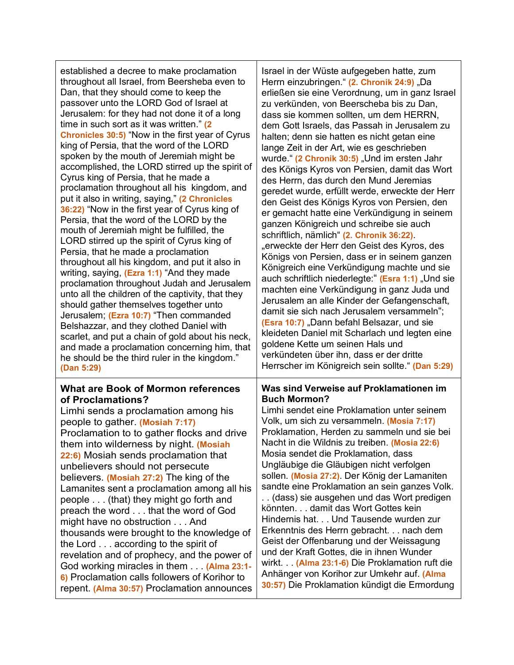| established a decree to make proclamation<br>throughout all Israel, from Beersheba even to<br>Dan, that they should come to keep the<br>passover unto the LORD God of Israel at<br>Jerusalem: for they had not done it of a long<br>time in such sort as it was written." (2<br><b>Chronicles 30:5)</b> "Now in the first year of Cyrus<br>king of Persia, that the word of the LORD<br>spoken by the mouth of Jeremiah might be<br>accomplished, the LORD stirred up the spirit of<br>Cyrus king of Persia, that he made a<br>proclamation throughout all his kingdom, and<br>put it also in writing, saying," (2 Chronicles<br>36:22) "Now in the first year of Cyrus king of<br>Persia, that the word of the LORD by the<br>mouth of Jeremiah might be fulfilled, the<br>LORD stirred up the spirit of Cyrus king of<br>Persia, that he made a proclamation<br>throughout all his kingdom, and put it also in<br>writing, saying, (Ezra 1:1) "And they made<br>proclamation throughout Judah and Jerusalem<br>unto all the children of the captivity, that they<br>should gather themselves together unto<br>Jerusalem; (Ezra 10:7) "Then commanded<br>Belshazzar, and they clothed Daniel with<br>scarlet, and put a chain of gold about his neck,<br>and made a proclamation concerning him, that<br>he should be the third ruler in the kingdom."<br>(Dan 5:29) | Israel in der Wüste aufgegeben hatte, zum<br>Herrn einzubringen." (2. Chronik 24:9) "Da<br>erließen sie eine Verordnung, um in ganz Israel<br>zu verkünden, von Beerscheba bis zu Dan,<br>dass sie kommen sollten, um dem HERRN,<br>dem Gott Israels, das Passah in Jerusalem zu<br>halten; denn sie hatten es nicht getan eine<br>lange Zeit in der Art, wie es geschrieben<br>wurde." (2 Chronik 30:5) "Und im ersten Jahr<br>des Königs Kyros von Persien, damit das Wort<br>des Herrn, das durch den Mund Jeremias<br>geredet wurde, erfüllt werde, erweckte der Herr<br>den Geist des Königs Kyros von Persien, den<br>er gemacht hatte eine Verkündigung in seinem<br>ganzen Königreich und schreibe sie auch<br>schriftlich, nämlich" (2. Chronik 36:22).<br>"erweckte der Herr den Geist des Kyros, des<br>Königs von Persien, dass er in seinem ganzen<br>Königreich eine Verkündigung machte und sie<br>auch schriftlich niederlegte: " (Esra 1:1) "Und sie<br>machten eine Verkündigung in ganz Juda und<br>Jerusalem an alle Kinder der Gefangenschaft,<br>damit sie sich nach Jerusalem versammeln";<br>(Esra 10:7) "Dann befahl Belsazar, und sie<br>kleideten Daniel mit Scharlach und legten eine<br>goldene Kette um seinen Hals und<br>verkündeten über ihn, dass er der dritte<br>Herrscher im Königreich sein sollte." (Dan 5:29) |
|-----------------------------------------------------------------------------------------------------------------------------------------------------------------------------------------------------------------------------------------------------------------------------------------------------------------------------------------------------------------------------------------------------------------------------------------------------------------------------------------------------------------------------------------------------------------------------------------------------------------------------------------------------------------------------------------------------------------------------------------------------------------------------------------------------------------------------------------------------------------------------------------------------------------------------------------------------------------------------------------------------------------------------------------------------------------------------------------------------------------------------------------------------------------------------------------------------------------------------------------------------------------------------------------------------------------------------------------------------------------------|-------------------------------------------------------------------------------------------------------------------------------------------------------------------------------------------------------------------------------------------------------------------------------------------------------------------------------------------------------------------------------------------------------------------------------------------------------------------------------------------------------------------------------------------------------------------------------------------------------------------------------------------------------------------------------------------------------------------------------------------------------------------------------------------------------------------------------------------------------------------------------------------------------------------------------------------------------------------------------------------------------------------------------------------------------------------------------------------------------------------------------------------------------------------------------------------------------------------------------------------------------------------------------------------------------------------------------------------------------|
| <b>What are Book of Mormon references</b>                                                                                                                                                                                                                                                                                                                                                                                                                                                                                                                                                                                                                                                                                                                                                                                                                                                                                                                                                                                                                                                                                                                                                                                                                                                                                                                             | Was sind Verweise auf Proklamationen im                                                                                                                                                                                                                                                                                                                                                                                                                                                                                                                                                                                                                                                                                                                                                                                                                                                                                                                                                                                                                                                                                                                                                                                                                                                                                                               |
| of Proclamations?                                                                                                                                                                                                                                                                                                                                                                                                                                                                                                                                                                                                                                                                                                                                                                                                                                                                                                                                                                                                                                                                                                                                                                                                                                                                                                                                                     | <b>Buch Mormon?</b>                                                                                                                                                                                                                                                                                                                                                                                                                                                                                                                                                                                                                                                                                                                                                                                                                                                                                                                                                                                                                                                                                                                                                                                                                                                                                                                                   |
| Limhi sends a proclamation among his                                                                                                                                                                                                                                                                                                                                                                                                                                                                                                                                                                                                                                                                                                                                                                                                                                                                                                                                                                                                                                                                                                                                                                                                                                                                                                                                  | Limhi sendet eine Proklamation unter seinem                                                                                                                                                                                                                                                                                                                                                                                                                                                                                                                                                                                                                                                                                                                                                                                                                                                                                                                                                                                                                                                                                                                                                                                                                                                                                                           |
| people to gather. (Mosiah 7:17)                                                                                                                                                                                                                                                                                                                                                                                                                                                                                                                                                                                                                                                                                                                                                                                                                                                                                                                                                                                                                                                                                                                                                                                                                                                                                                                                       | Volk, um sich zu versammeln. (Mosia 7:17)                                                                                                                                                                                                                                                                                                                                                                                                                                                                                                                                                                                                                                                                                                                                                                                                                                                                                                                                                                                                                                                                                                                                                                                                                                                                                                             |
| Proclamation to to gather flocks and drive                                                                                                                                                                                                                                                                                                                                                                                                                                                                                                                                                                                                                                                                                                                                                                                                                                                                                                                                                                                                                                                                                                                                                                                                                                                                                                                            | Proklamation, Herden zu sammeln und sie bei                                                                                                                                                                                                                                                                                                                                                                                                                                                                                                                                                                                                                                                                                                                                                                                                                                                                                                                                                                                                                                                                                                                                                                                                                                                                                                           |
| them into wilderness by night. (Mosiah                                                                                                                                                                                                                                                                                                                                                                                                                                                                                                                                                                                                                                                                                                                                                                                                                                                                                                                                                                                                                                                                                                                                                                                                                                                                                                                                | Nacht in die Wildnis zu treiben. (Mosia 22:6)                                                                                                                                                                                                                                                                                                                                                                                                                                                                                                                                                                                                                                                                                                                                                                                                                                                                                                                                                                                                                                                                                                                                                                                                                                                                                                         |
| 22:6) Mosiah sends proclamation that                                                                                                                                                                                                                                                                                                                                                                                                                                                                                                                                                                                                                                                                                                                                                                                                                                                                                                                                                                                                                                                                                                                                                                                                                                                                                                                                  | Mosia sendet die Proklamation, dass                                                                                                                                                                                                                                                                                                                                                                                                                                                                                                                                                                                                                                                                                                                                                                                                                                                                                                                                                                                                                                                                                                                                                                                                                                                                                                                   |
| unbelievers should not persecute                                                                                                                                                                                                                                                                                                                                                                                                                                                                                                                                                                                                                                                                                                                                                                                                                                                                                                                                                                                                                                                                                                                                                                                                                                                                                                                                      | Ungläubige die Gläubigen nicht verfolgen                                                                                                                                                                                                                                                                                                                                                                                                                                                                                                                                                                                                                                                                                                                                                                                                                                                                                                                                                                                                                                                                                                                                                                                                                                                                                                              |
| believers. (Mosiah 27:2) The king of the                                                                                                                                                                                                                                                                                                                                                                                                                                                                                                                                                                                                                                                                                                                                                                                                                                                                                                                                                                                                                                                                                                                                                                                                                                                                                                                              | sollen. (Mosia 27:2). Der König der Lamaniten                                                                                                                                                                                                                                                                                                                                                                                                                                                                                                                                                                                                                                                                                                                                                                                                                                                                                                                                                                                                                                                                                                                                                                                                                                                                                                         |
| Lamanites sent a proclamation among all his                                                                                                                                                                                                                                                                                                                                                                                                                                                                                                                                                                                                                                                                                                                                                                                                                                                                                                                                                                                                                                                                                                                                                                                                                                                                                                                           | sandte eine Proklamation an sein ganzes Volk.                                                                                                                                                                                                                                                                                                                                                                                                                                                                                                                                                                                                                                                                                                                                                                                                                                                                                                                                                                                                                                                                                                                                                                                                                                                                                                         |
| people (that) they might go forth and                                                                                                                                                                                                                                                                                                                                                                                                                                                                                                                                                                                                                                                                                                                                                                                                                                                                                                                                                                                                                                                                                                                                                                                                                                                                                                                                 | (dass) sie ausgehen und das Wort predigen                                                                                                                                                                                                                                                                                                                                                                                                                                                                                                                                                                                                                                                                                                                                                                                                                                                                                                                                                                                                                                                                                                                                                                                                                                                                                                             |
| preach the word that the word of God                                                                                                                                                                                                                                                                                                                                                                                                                                                                                                                                                                                                                                                                                                                                                                                                                                                                                                                                                                                                                                                                                                                                                                                                                                                                                                                                  | könnten. damit das Wort Gottes kein                                                                                                                                                                                                                                                                                                                                                                                                                                                                                                                                                                                                                                                                                                                                                                                                                                                                                                                                                                                                                                                                                                                                                                                                                                                                                                                   |
| might have no obstruction And                                                                                                                                                                                                                                                                                                                                                                                                                                                                                                                                                                                                                                                                                                                                                                                                                                                                                                                                                                                                                                                                                                                                                                                                                                                                                                                                         | Hindernis hat. Und Tausende wurden zur                                                                                                                                                                                                                                                                                                                                                                                                                                                                                                                                                                                                                                                                                                                                                                                                                                                                                                                                                                                                                                                                                                                                                                                                                                                                                                                |
| thousands were brought to the knowledge of                                                                                                                                                                                                                                                                                                                                                                                                                                                                                                                                                                                                                                                                                                                                                                                                                                                                                                                                                                                                                                                                                                                                                                                                                                                                                                                            | Erkenntnis des Herrn gebracht. nach dem                                                                                                                                                                                                                                                                                                                                                                                                                                                                                                                                                                                                                                                                                                                                                                                                                                                                                                                                                                                                                                                                                                                                                                                                                                                                                                               |
| the Lord according to the spirit of                                                                                                                                                                                                                                                                                                                                                                                                                                                                                                                                                                                                                                                                                                                                                                                                                                                                                                                                                                                                                                                                                                                                                                                                                                                                                                                                   | Geist der Offenbarung und der Weissagung                                                                                                                                                                                                                                                                                                                                                                                                                                                                                                                                                                                                                                                                                                                                                                                                                                                                                                                                                                                                                                                                                                                                                                                                                                                                                                              |
| revelation and of prophecy, and the power of                                                                                                                                                                                                                                                                                                                                                                                                                                                                                                                                                                                                                                                                                                                                                                                                                                                                                                                                                                                                                                                                                                                                                                                                                                                                                                                          | und der Kraft Gottes, die in ihnen Wunder                                                                                                                                                                                                                                                                                                                                                                                                                                                                                                                                                                                                                                                                                                                                                                                                                                                                                                                                                                                                                                                                                                                                                                                                                                                                                                             |
| God working miracles in them (Alma 23:1-                                                                                                                                                                                                                                                                                                                                                                                                                                                                                                                                                                                                                                                                                                                                                                                                                                                                                                                                                                                                                                                                                                                                                                                                                                                                                                                              | wirkt. . (Alma 23:1-6) Die Proklamation ruft die                                                                                                                                                                                                                                                                                                                                                                                                                                                                                                                                                                                                                                                                                                                                                                                                                                                                                                                                                                                                                                                                                                                                                                                                                                                                                                      |
| 6) Proclamation calls followers of Korihor to                                                                                                                                                                                                                                                                                                                                                                                                                                                                                                                                                                                                                                                                                                                                                                                                                                                                                                                                                                                                                                                                                                                                                                                                                                                                                                                         | Anhänger von Korihor zur Umkehr auf. (Alma                                                                                                                                                                                                                                                                                                                                                                                                                                                                                                                                                                                                                                                                                                                                                                                                                                                                                                                                                                                                                                                                                                                                                                                                                                                                                                            |
| repent. (Alma 30:57) Proclamation announces                                                                                                                                                                                                                                                                                                                                                                                                                                                                                                                                                                                                                                                                                                                                                                                                                                                                                                                                                                                                                                                                                                                                                                                                                                                                                                                           | 30:57) Die Proklamation kündigt die Ermordung                                                                                                                                                                                                                                                                                                                                                                                                                                                                                                                                                                                                                                                                                                                                                                                                                                                                                                                                                                                                                                                                                                                                                                                                                                                                                                         |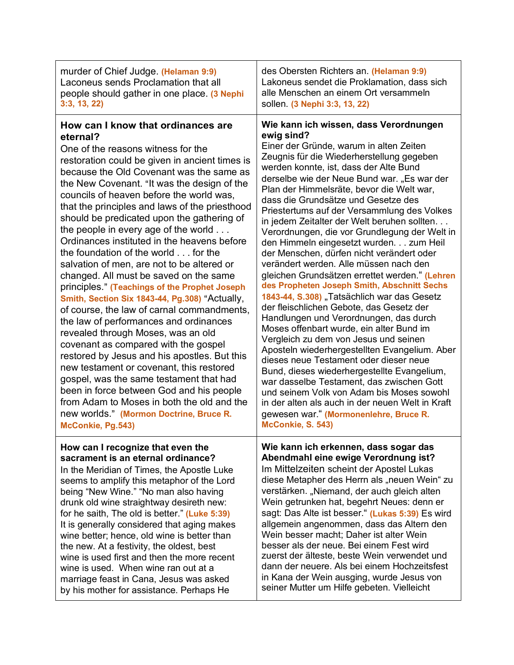| murder of Chief Judge (Helaman 9:9)                                                                                                                                                                                                                                                                                                                                                                                                                                                                                                                                                                                                                                                                                                                                                                                                                                                                                                                                                                                                                                                                                                                                           | des Obersten Richters an. (Helaman 9:9)                                                                                                                                                                                                                                                                                                                                                                                                                                                                                                                                                                                                                                                                                                                                                                                                                                                                                                                                                                                                                                                                                                                                                                                                                                                      |
|-------------------------------------------------------------------------------------------------------------------------------------------------------------------------------------------------------------------------------------------------------------------------------------------------------------------------------------------------------------------------------------------------------------------------------------------------------------------------------------------------------------------------------------------------------------------------------------------------------------------------------------------------------------------------------------------------------------------------------------------------------------------------------------------------------------------------------------------------------------------------------------------------------------------------------------------------------------------------------------------------------------------------------------------------------------------------------------------------------------------------------------------------------------------------------|----------------------------------------------------------------------------------------------------------------------------------------------------------------------------------------------------------------------------------------------------------------------------------------------------------------------------------------------------------------------------------------------------------------------------------------------------------------------------------------------------------------------------------------------------------------------------------------------------------------------------------------------------------------------------------------------------------------------------------------------------------------------------------------------------------------------------------------------------------------------------------------------------------------------------------------------------------------------------------------------------------------------------------------------------------------------------------------------------------------------------------------------------------------------------------------------------------------------------------------------------------------------------------------------|
| Laconeus sends Proclamation that all                                                                                                                                                                                                                                                                                                                                                                                                                                                                                                                                                                                                                                                                                                                                                                                                                                                                                                                                                                                                                                                                                                                                          | Lakoneus sendet die Proklamation, dass sich                                                                                                                                                                                                                                                                                                                                                                                                                                                                                                                                                                                                                                                                                                                                                                                                                                                                                                                                                                                                                                                                                                                                                                                                                                                  |
| people should gather in one place. (3 Nephi                                                                                                                                                                                                                                                                                                                                                                                                                                                                                                                                                                                                                                                                                                                                                                                                                                                                                                                                                                                                                                                                                                                                   | alle Menschen an einem Ort versammeln                                                                                                                                                                                                                                                                                                                                                                                                                                                                                                                                                                                                                                                                                                                                                                                                                                                                                                                                                                                                                                                                                                                                                                                                                                                        |
| 3:3, 13, 22                                                                                                                                                                                                                                                                                                                                                                                                                                                                                                                                                                                                                                                                                                                                                                                                                                                                                                                                                                                                                                                                                                                                                                   | sollen. (3 Nephi 3:3, 13, 22)                                                                                                                                                                                                                                                                                                                                                                                                                                                                                                                                                                                                                                                                                                                                                                                                                                                                                                                                                                                                                                                                                                                                                                                                                                                                |
| How can I know that ordinances are<br>eternal?<br>One of the reasons witness for the<br>restoration could be given in ancient times is<br>because the Old Covenant was the same as<br>the New Covenant. "It was the design of the<br>councils of heaven before the world was,<br>that the principles and laws of the priesthood<br>should be predicated upon the gathering of<br>the people in every age of the world<br>Ordinances instituted in the heavens before<br>the foundation of the world for the<br>salvation of men, are not to be altered or<br>changed. All must be saved on the same<br>principles." (Teachings of the Prophet Joseph<br>Smith, Section Six 1843-44, Pg.308) "Actually,<br>of course, the law of carnal commandments,<br>the law of performances and ordinances<br>revealed through Moses, was an old<br>covenant as compared with the gospel<br>restored by Jesus and his apostles. But this<br>new testament or covenant, this restored<br>gospel, was the same testament that had<br>been in force between God and his people<br>from Adam to Moses in both the old and the<br>new worlds " (Mormon Doctrine, Bruce R.<br>McConkie, Pg.543) | Wie kann ich wissen, dass Verordnungen<br>ewig sind?<br>Einer der Gründe, warum in alten Zeiten<br>Zeugnis für die Wiederherstellung gegeben<br>werden konnte, ist, dass der Alte Bund<br>derselbe wie der Neue Bund war. "Es war der<br>Plan der Himmelsräte, bevor die Welt war,<br>dass die Grundsätze und Gesetze des<br>Priestertums auf der Versammlung des Volkes<br>in jedem Zeitalter der Welt beruhen sollten<br>Verordnungen, die vor Grundlegung der Welt in<br>den Himmeln eingesetzt wurden. zum Heil<br>der Menschen, dürfen nicht verändert oder<br>verändert werden. Alle müssen nach den<br>gleichen Grundsätzen errettet werden." (Lehren<br>des Propheten Joseph Smith, Abschnitt Sechs<br>1843-44, S.308) "Tatsächlich war das Gesetz<br>der fleischlichen Gebote, das Gesetz der<br>Handlungen und Verordnungen, das durch<br>Moses offenbart wurde, ein alter Bund im<br>Vergleich zu dem von Jesus und seinen<br>Aposteln wiederhergestellten Evangelium. Aber<br>dieses neue Testament oder dieser neue<br>Bund, dieses wiederhergestellte Evangelium,<br>war dasselbe Testament, das zwischen Gott<br>und seinem Volk von Adam bis Moses sowohl<br>in der alten als auch in der neuen Welt in Kraft<br>gewesen war." (Mormonenlehre, Bruce R.<br>McConkie, S. 543) |
| How can I recognize that even the                                                                                                                                                                                                                                                                                                                                                                                                                                                                                                                                                                                                                                                                                                                                                                                                                                                                                                                                                                                                                                                                                                                                             | Wie kann ich erkennen, dass sogar das                                                                                                                                                                                                                                                                                                                                                                                                                                                                                                                                                                                                                                                                                                                                                                                                                                                                                                                                                                                                                                                                                                                                                                                                                                                        |
| sacrament is an eternal ordinance?                                                                                                                                                                                                                                                                                                                                                                                                                                                                                                                                                                                                                                                                                                                                                                                                                                                                                                                                                                                                                                                                                                                                            | Abendmahl eine ewige Verordnung ist?                                                                                                                                                                                                                                                                                                                                                                                                                                                                                                                                                                                                                                                                                                                                                                                                                                                                                                                                                                                                                                                                                                                                                                                                                                                         |
| In the Meridian of Times, the Apostle Luke                                                                                                                                                                                                                                                                                                                                                                                                                                                                                                                                                                                                                                                                                                                                                                                                                                                                                                                                                                                                                                                                                                                                    | Im Mittelzeiten scheint der Apostel Lukas                                                                                                                                                                                                                                                                                                                                                                                                                                                                                                                                                                                                                                                                                                                                                                                                                                                                                                                                                                                                                                                                                                                                                                                                                                                    |
| seems to amplify this metaphor of the Lord                                                                                                                                                                                                                                                                                                                                                                                                                                                                                                                                                                                                                                                                                                                                                                                                                                                                                                                                                                                                                                                                                                                                    | diese Metapher des Herrn als "neuen Wein" zu                                                                                                                                                                                                                                                                                                                                                                                                                                                                                                                                                                                                                                                                                                                                                                                                                                                                                                                                                                                                                                                                                                                                                                                                                                                 |
| being "New Wine." "No man also having                                                                                                                                                                                                                                                                                                                                                                                                                                                                                                                                                                                                                                                                                                                                                                                                                                                                                                                                                                                                                                                                                                                                         | verstärken. "Niemand, der auch gleich alten                                                                                                                                                                                                                                                                                                                                                                                                                                                                                                                                                                                                                                                                                                                                                                                                                                                                                                                                                                                                                                                                                                                                                                                                                                                  |
| drunk old wine straightway desireth new:                                                                                                                                                                                                                                                                                                                                                                                                                                                                                                                                                                                                                                                                                                                                                                                                                                                                                                                                                                                                                                                                                                                                      | Wein getrunken hat, begehrt Neues: denn er                                                                                                                                                                                                                                                                                                                                                                                                                                                                                                                                                                                                                                                                                                                                                                                                                                                                                                                                                                                                                                                                                                                                                                                                                                                   |
| for he saith, The old is better." (Luke 5:39)                                                                                                                                                                                                                                                                                                                                                                                                                                                                                                                                                                                                                                                                                                                                                                                                                                                                                                                                                                                                                                                                                                                                 | sagt: Das Alte ist besser." (Lukas 5:39) Es wird                                                                                                                                                                                                                                                                                                                                                                                                                                                                                                                                                                                                                                                                                                                                                                                                                                                                                                                                                                                                                                                                                                                                                                                                                                             |
| It is generally considered that aging makes                                                                                                                                                                                                                                                                                                                                                                                                                                                                                                                                                                                                                                                                                                                                                                                                                                                                                                                                                                                                                                                                                                                                   | allgemein angenommen, dass das Altern den                                                                                                                                                                                                                                                                                                                                                                                                                                                                                                                                                                                                                                                                                                                                                                                                                                                                                                                                                                                                                                                                                                                                                                                                                                                    |
| wine better; hence, old wine is better than                                                                                                                                                                                                                                                                                                                                                                                                                                                                                                                                                                                                                                                                                                                                                                                                                                                                                                                                                                                                                                                                                                                                   | Wein besser macht; Daher ist alter Wein                                                                                                                                                                                                                                                                                                                                                                                                                                                                                                                                                                                                                                                                                                                                                                                                                                                                                                                                                                                                                                                                                                                                                                                                                                                      |
| the new. At a festivity, the oldest, best                                                                                                                                                                                                                                                                                                                                                                                                                                                                                                                                                                                                                                                                                                                                                                                                                                                                                                                                                                                                                                                                                                                                     | besser als der neue. Bei einem Fest wird                                                                                                                                                                                                                                                                                                                                                                                                                                                                                                                                                                                                                                                                                                                                                                                                                                                                                                                                                                                                                                                                                                                                                                                                                                                     |
| wine is used first and then the more recent                                                                                                                                                                                                                                                                                                                                                                                                                                                                                                                                                                                                                                                                                                                                                                                                                                                                                                                                                                                                                                                                                                                                   | zuerst der älteste, beste Wein verwendet und                                                                                                                                                                                                                                                                                                                                                                                                                                                                                                                                                                                                                                                                                                                                                                                                                                                                                                                                                                                                                                                                                                                                                                                                                                                 |
| wine is used. When wine ran out at a                                                                                                                                                                                                                                                                                                                                                                                                                                                                                                                                                                                                                                                                                                                                                                                                                                                                                                                                                                                                                                                                                                                                          | dann der neuere. Als bei einem Hochzeitsfest                                                                                                                                                                                                                                                                                                                                                                                                                                                                                                                                                                                                                                                                                                                                                                                                                                                                                                                                                                                                                                                                                                                                                                                                                                                 |
| marriage feast in Cana, Jesus was asked                                                                                                                                                                                                                                                                                                                                                                                                                                                                                                                                                                                                                                                                                                                                                                                                                                                                                                                                                                                                                                                                                                                                       | in Kana der Wein ausging, wurde Jesus von                                                                                                                                                                                                                                                                                                                                                                                                                                                                                                                                                                                                                                                                                                                                                                                                                                                                                                                                                                                                                                                                                                                                                                                                                                                    |
| by his mother for assistance. Perhaps He                                                                                                                                                                                                                                                                                                                                                                                                                                                                                                                                                                                                                                                                                                                                                                                                                                                                                                                                                                                                                                                                                                                                      | seiner Mutter um Hilfe gebeten. Vielleicht                                                                                                                                                                                                                                                                                                                                                                                                                                                                                                                                                                                                                                                                                                                                                                                                                                                                                                                                                                                                                                                                                                                                                                                                                                                   |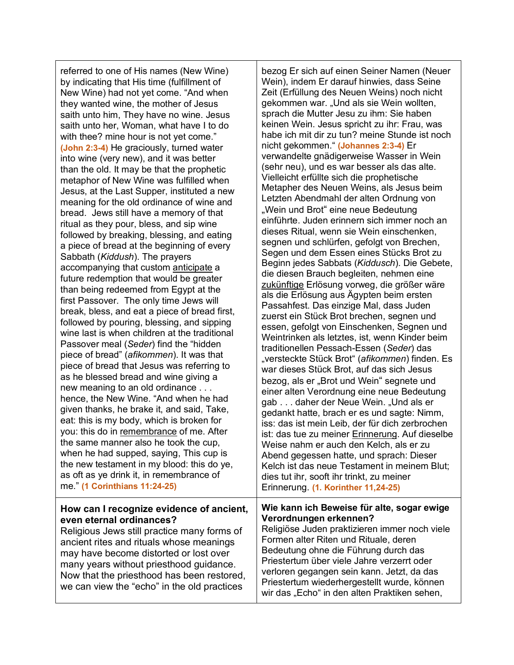referred to one of His names (New Wine) by indicating that His time (fulfillment of New Wine) had not yet come. "And when they wanted wine, the mother of Jesus saith unto him, They have no wine. Jesus saith unto her, Woman, what have I to do with thee? mine hour is not yet come." **(John 2:3-4)** He graciously, turned water into wine (very new), and it was better than the old. It may be that the prophetic metaphor of New Wine was fulfilled when Jesus, at the Last Supper, instituted a new meaning for the old ordinance of wine and bread. Jews still have a memory of that ritual as they pour, bless, and sip wine followed by breaking, blessing, and eating a piece of bread at the beginning of every Sabbath (*Kiddush*). The prayers accompanying that custom anticipate a future redemption that would be greater than being redeemed from Egypt at the first Passover. The only time Jews will break, bless, and eat a piece of bread first, followed by pouring, blessing, and sipping wine last is when children at the traditional Passover meal (*Seder*) find the "hidden piece of bread" (*afikommen*). It was that piece of bread that Jesus was referring to as he blessed bread and wine giving a new meaning to an old ordinance . . . hence, the New Wine. "And when he had given thanks, he brake it, and said, Take, eat: this is my body, which is broken for you: this do in remembrance of me. After the same manner also he took the cup, when he had supped, saying, This cup is the new testament in my blood: this do ye, as oft as ye drink it, in remembrance of me." **(1 Corinthians 11:24-25)**

### **How can I recognize evidence of ancient, even eternal ordinances?**

Religious Jews still practice many forms of ancient rites and rituals whose meanings may have become distorted or lost over many years without priesthood guidance. Now that the priesthood has been restored, we can view the "echo" in the old practices

bezog Er sich auf einen Seiner Namen (Neuer Wein), indem Er darauf hinwies, dass Seine Zeit (Erfüllung des Neuen Weins) noch nicht gekommen war. "Und als sie Wein wollten, sprach die Mutter Jesu zu ihm: Sie haben keinen Wein. Jesus spricht zu ihr: Frau, was habe ich mit dir zu tun? meine Stunde ist noch nicht gekommen." **(Johannes 2:3-4)** Er verwandelte gnädigerweise Wasser in Wein (sehr neu), und es war besser als das alte. Vielleicht erfüllte sich die prophetische Metapher des Neuen Weins, als Jesus beim Letzten Abendmahl der alten Ordnung von "Wein und Brot" eine neue Bedeutung einführte. Juden erinnern sich immer noch an dieses Ritual, wenn sie Wein einschenken, segnen und schlürfen, gefolgt von Brechen, Segen und dem Essen eines Stücks Brot zu Beginn jedes Sabbats (*Kiddusch*). Die Gebete, die diesen Brauch begleiten, nehmen eine zukünftige Erlösung vorweg, die größer wäre als die Erlösung aus Ägypten beim ersten Passahfest. Das einzige Mal, dass Juden zuerst ein Stück Brot brechen, segnen und essen, gefolgt von Einschenken, Segnen und Weintrinken als letztes, ist, wenn Kinder beim traditionellen Pessach-Essen (*Seder*) das "versteckte Stück Brot" (*afikommen*) finden. Es war dieses Stück Brot, auf das sich Jesus bezog, als er "Brot und Wein" segnete und einer alten Verordnung eine neue Bedeutung gab . . . daher der Neue Wein. "Und als er gedankt hatte, brach er es und sagte: Nimm, iss: das ist mein Leib, der für dich zerbrochen ist: das tue zu meiner Erinnerung. Auf dieselbe Weise nahm er auch den Kelch, als er zu Abend gegessen hatte, und sprach: Dieser Kelch ist das neue Testament in meinem Blut; dies tut ihr, sooft ihr trinkt, zu meiner Erinnerung. **(1. Korinther 11,24-25)**

### **Wie kann ich Beweise für alte, sogar ewige Verordnungen erkennen?**

Religiöse Juden praktizieren immer noch viele Formen alter Riten und Rituale, deren Bedeutung ohne die Führung durch das Priestertum über viele Jahre verzerrt oder verloren gegangen sein kann. Jetzt, da das Priestertum wiederhergestellt wurde, können wir das "Echo" in den alten Praktiken sehen,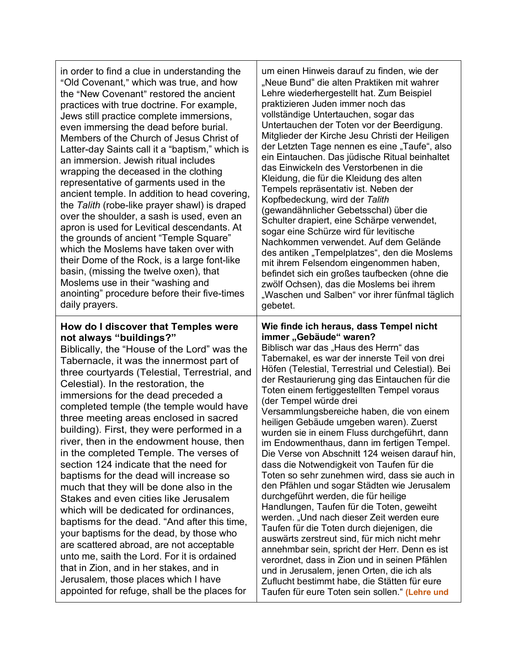| in order to find a clue in understanding the<br>"Old Covenant," which was true, and how<br>the "New Covenant" restored the ancient<br>practices with true doctrine. For example,<br>Jews still practice complete immersions,<br>even immersing the dead before burial.<br>Members of the Church of Jesus Christ of<br>Latter-day Saints call it a "baptism," which is<br>an immersion. Jewish ritual includes<br>wrapping the deceased in the clothing<br>representative of garments used in the<br>ancient temple. In addition to head covering,<br>the Talith (robe-like prayer shawl) is draped<br>over the shoulder, a sash is used, even an<br>apron is used for Levitical descendants. At<br>the grounds of ancient "Temple Square"<br>which the Moslems have taken over with<br>their Dome of the Rock, is a large font-like<br>basin, (missing the twelve oxen), that<br>Moslems use in their "washing and<br>anointing" procedure before their five-times<br>daily prayers.                                                                           | um einen Hinweis darauf zu finden, wie der<br>"Neue Bund" die alten Praktiken mit wahrer<br>Lehre wiederhergestellt hat. Zum Beispiel<br>praktizieren Juden immer noch das<br>vollständige Untertauchen, sogar das<br>Untertauchen der Toten vor der Beerdigung.<br>Mitglieder der Kirche Jesu Christi der Heiligen<br>der Letzten Tage nennen es eine "Taufe", also<br>ein Eintauchen. Das jüdische Ritual beinhaltet<br>das Einwickeln des Verstorbenen in die<br>Kleidung, die für die Kleidung des alten<br>Tempels repräsentativ ist. Neben der<br>Kopfbedeckung, wird der Talith<br>(gewandähnlicher Gebetsschal) über die<br>Schulter drapiert, eine Schärpe verwendet,<br>sogar eine Schürze wird für levitische<br>Nachkommen verwendet. Auf dem Gelände<br>des antiken "Tempelplatzes", den die Moslems<br>mit ihrem Felsendom eingenommen haben,<br>befindet sich ein großes taufbecken (ohne die<br>zwölf Ochsen), das die Moslems bei ihrem<br>"Waschen und Salben" vor ihrer fünfmal täglich<br>gebetet.                                                                                                                                                                                           |
|----------------------------------------------------------------------------------------------------------------------------------------------------------------------------------------------------------------------------------------------------------------------------------------------------------------------------------------------------------------------------------------------------------------------------------------------------------------------------------------------------------------------------------------------------------------------------------------------------------------------------------------------------------------------------------------------------------------------------------------------------------------------------------------------------------------------------------------------------------------------------------------------------------------------------------------------------------------------------------------------------------------------------------------------------------------|------------------------------------------------------------------------------------------------------------------------------------------------------------------------------------------------------------------------------------------------------------------------------------------------------------------------------------------------------------------------------------------------------------------------------------------------------------------------------------------------------------------------------------------------------------------------------------------------------------------------------------------------------------------------------------------------------------------------------------------------------------------------------------------------------------------------------------------------------------------------------------------------------------------------------------------------------------------------------------------------------------------------------------------------------------------------------------------------------------------------------------------------------------------------------------------------------------------|
| How do I discover that Temples were<br>not always "buildings?"<br>Biblically, the "House of the Lord" was the<br>Tabernacle, it was the innermost part of<br>three courtyards (Telestial, Terrestrial, and<br>Celestial). In the restoration, the<br>immersions for the dead preceded a<br>completed temple (the temple would have<br>three meeting areas enclosed in sacred<br>building). First, they were performed in a<br>river, then in the endowment house, then<br>in the completed Temple. The verses of<br>section 124 indicate that the need for<br>baptisms for the dead will increase so<br>much that they will be done also in the<br>Stakes and even cities like Jerusalem<br>which will be dedicated for ordinances,<br>baptisms for the dead. "And after this time,<br>your baptisms for the dead, by those who<br>are scattered abroad, are not acceptable<br>unto me, saith the Lord. For it is ordained<br>that in Zion, and in her stakes, and in<br>Jerusalem, those places which I have<br>appointed for refuge, shall be the places for | Wie finde ich heraus, dass Tempel nicht<br>immer "Gebäude" waren?<br>Biblisch war das "Haus des Herrn" das<br>Tabernakel, es war der innerste Teil von drei<br>Höfen (Telestial, Terrestrial und Celestial). Bei<br>der Restaurierung ging das Eintauchen für die<br>Toten einem fertiggestellten Tempel voraus<br>(der Tempel würde drei<br>Versammlungsbereiche haben, die von einem<br>heiligen Gebäude umgeben waren). Zuerst<br>wurden sie in einem Fluss durchgeführt, dann<br>im Endowmenthaus, dann im fertigen Tempel.<br>Die Verse von Abschnitt 124 weisen darauf hin,<br>dass die Notwendigkeit von Taufen für die<br>Toten so sehr zunehmen wird, dass sie auch in<br>den Pfählen und sogar Städten wie Jerusalem<br>durchgeführt werden, die für heilige<br>Handlungen, Taufen für die Toten, geweiht<br>werden. "Und nach dieser Zeit werden eure<br>Taufen für die Toten durch diejenigen, die<br>auswärts zerstreut sind, für mich nicht mehr<br>annehmbar sein, spricht der Herr. Denn es ist<br>verordnet, dass in Zion und in seinen Pfählen<br>und in Jerusalem, jenen Orten, die ich als<br>Zuflucht bestimmt habe, die Stätten für eure<br>Taufen für eure Toten sein sollen." (Lehre und |